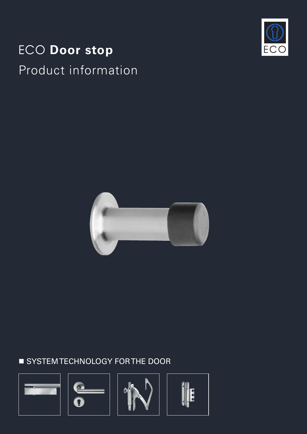# ECO **Door stop** Product information





# **SYSTEM TECHNOLOGY FOR THE DOOR**







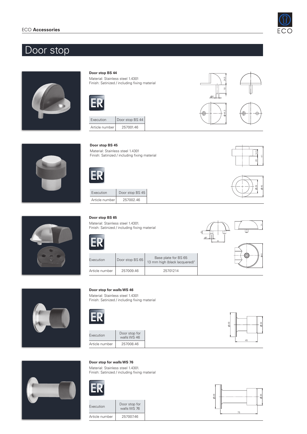

# Door stop





Material: Stainless steel 1.4301 Finish: Satinized / including fixing material



| Execution      | Door stop BS 44 |  |
|----------------|-----------------|--|
| Article number | 257001.46       |  |

#### **Door stop BS 45**

Material: Stainless steel 1.4301 Finish: Satinized / including fixing material





18 24,5

 $\frac{1}{2}$ 

44,5

6







| Execution      | Door stop BS 45 |  |
|----------------|-----------------|--|
| Article number | 257002.46       |  |

#### **Door stop BS 65**

Material: Stainless steel 1.4301. Finish: Satinized / including fixing material

| Execution      | Door stop BS 65 | Base plate for BS 65<br>13 mm high (black lacquered)" |
|----------------|-----------------|-------------------------------------------------------|
| Article number | 257009.46       | 25701214                                              |



 $^{\circ}$ 



### **Door stop for walls WS 46**

Material: Stainless steel 1.4301 Finish: Satinized / including fixing material









### **Door stop for walls WS 76**

Material: Stainless steel 1.4301. Finish: Satinized / including fixing material



| Execution      | Door stop for<br>walls WS 76 |
|----------------|------------------------------|
| Article number | 257007.46                    |